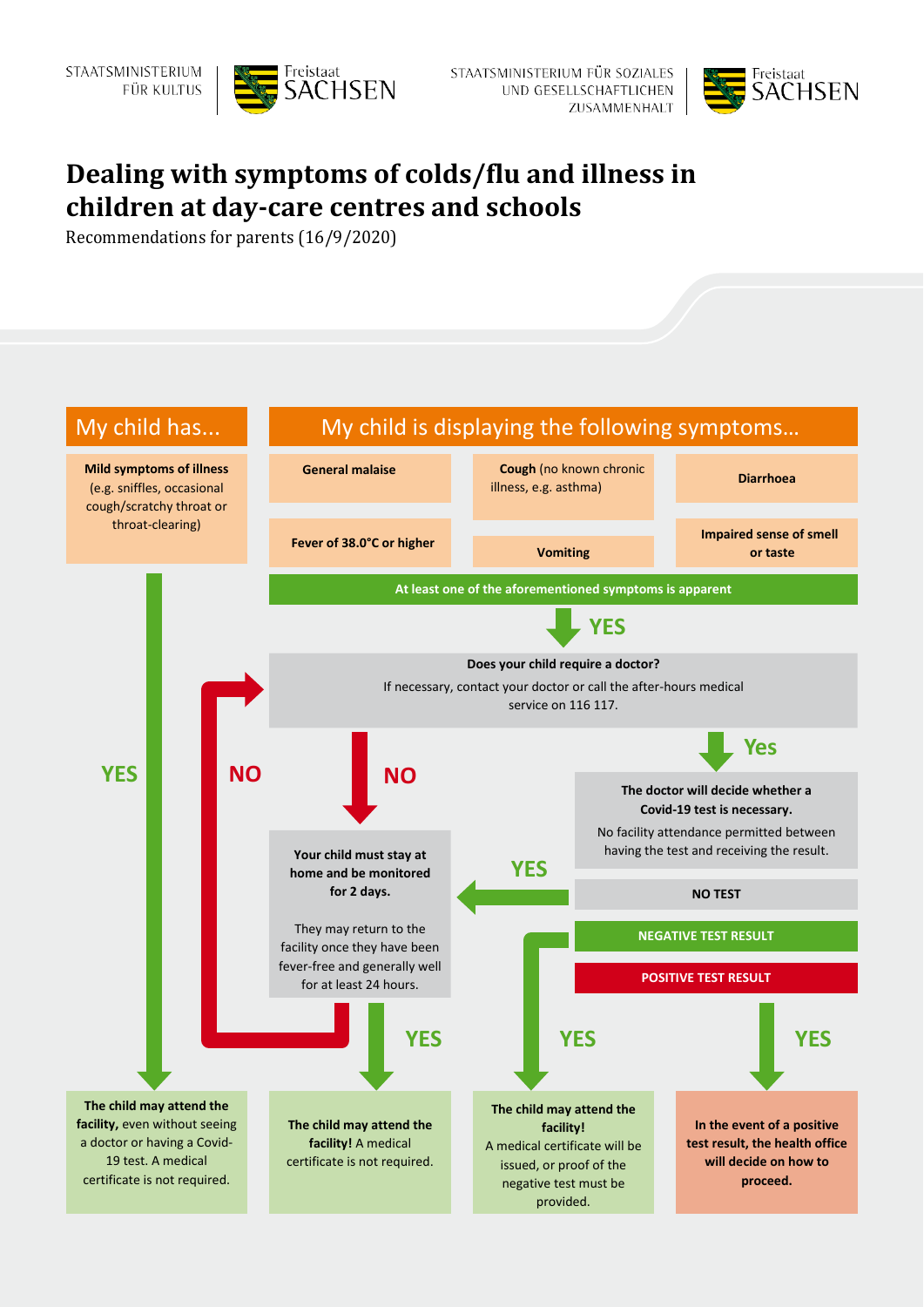



## **Dealing with symptoms of colds/flu and illness in children at day-care centres and schools**

Recommendations for parents (16/9/2020)